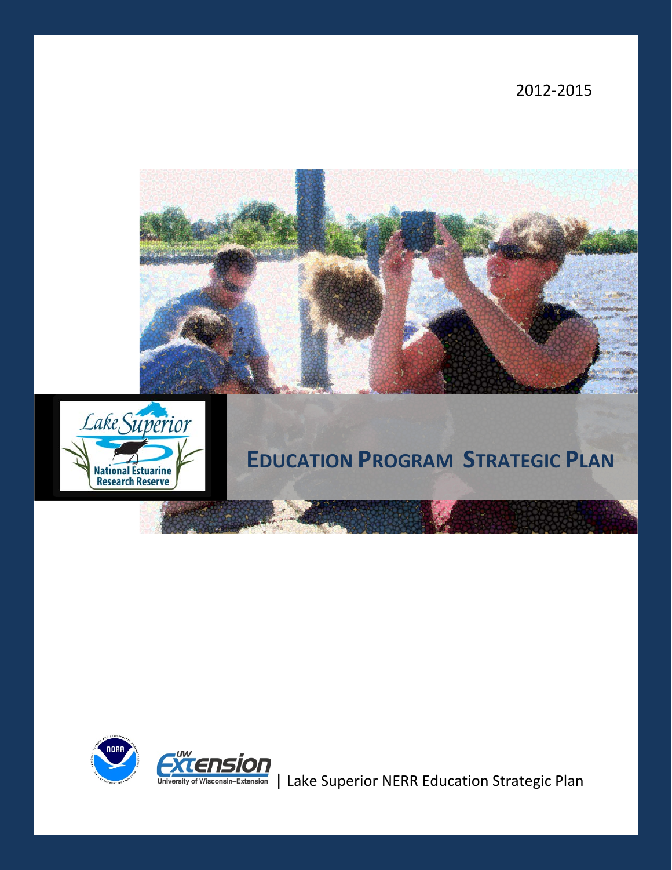2012-2015





# **EDUCATION PROGRAM STRATEGIC PLAN**



University of Wisconsin-Extension | Lake Superior NERR Education Strategic Plan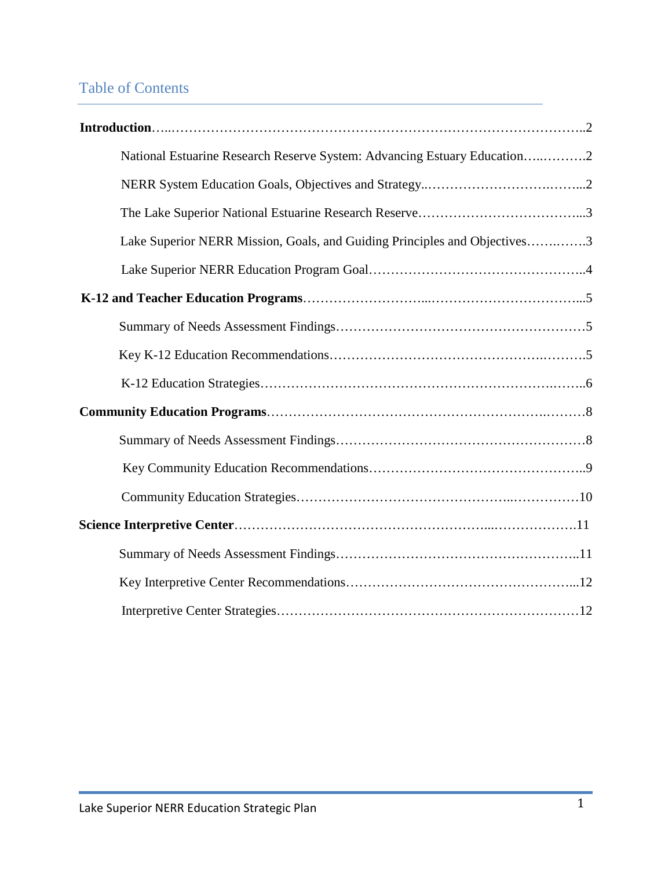## Table of Contents

| National Estuarine Research Reserve System: Advancing Estuary Education2  |  |
|---------------------------------------------------------------------------|--|
|                                                                           |  |
|                                                                           |  |
| Lake Superior NERR Mission, Goals, and Guiding Principles and Objectives3 |  |
|                                                                           |  |
|                                                                           |  |
|                                                                           |  |
|                                                                           |  |
|                                                                           |  |
|                                                                           |  |
|                                                                           |  |
|                                                                           |  |
|                                                                           |  |
|                                                                           |  |
|                                                                           |  |
|                                                                           |  |
|                                                                           |  |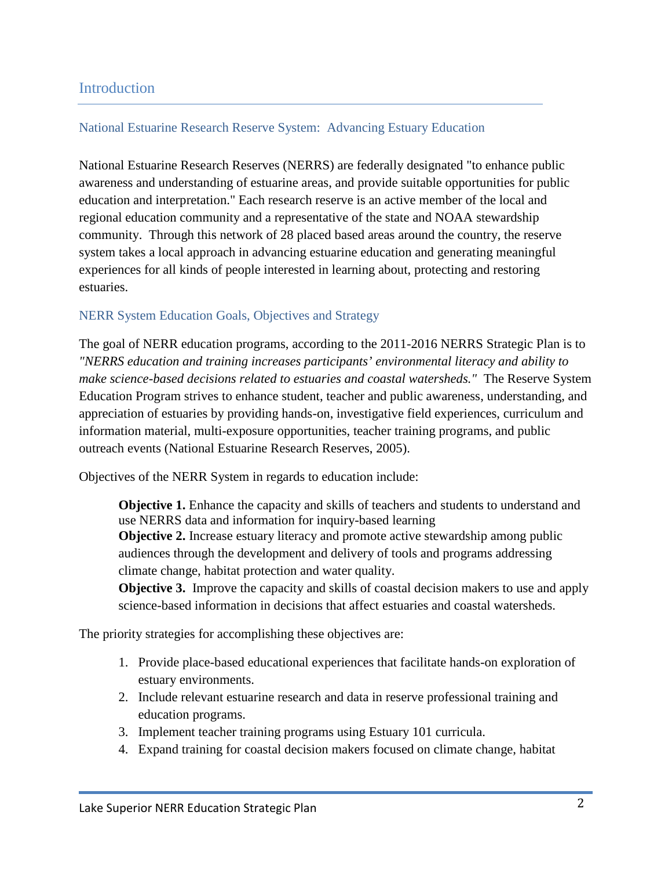## **Introduction**

#### National Estuarine Research Reserve System: Advancing Estuary Education

National Estuarine Research Reserves (NERRS) are federally designated "to enhance public awareness and understanding of estuarine areas, and provide suitable opportunities for public education and interpretation." Each research reserve is an active member of the local and regional education community and a representative of the state and NOAA stewardship community. Through this network of 28 placed based areas around the country, the reserve system takes a local approach in advancing estuarine education and generating meaningful experiences for all kinds of people interested in learning about, protecting and restoring estuaries.

#### NERR System Education Goals, Objectives and Strategy

The goal of NERR education programs, according to the 2011-2016 NERRS Strategic Plan is to *"NERRS education and training increases participants' environmental literacy and ability to make science-based decisions related to estuaries and coastal watersheds."* The Reserve System Education Program strives to enhance student, teacher and public awareness, understanding, and appreciation of estuaries by providing hands-on, investigative field experiences, curriculum and information material, multi-exposure opportunities, teacher training programs, and public outreach events (National Estuarine Research Reserves, 2005).

Objectives of the NERR System in regards to education include:

**Objective 1.** Enhance the capacity and skills of teachers and students to understand and use NERRS data and information for inquiry-based learning

**Objective 2.** Increase estuary literacy and promote active stewardship among public audiences through the development and delivery of tools and programs addressing climate change, habitat protection and water quality.

**Objective 3.** Improve the capacity and skills of coastal decision makers to use and apply science-based information in decisions that affect estuaries and coastal watersheds.

The priority strategies for accomplishing these objectives are:

- 1. Provide place-based educational experiences that facilitate hands-on exploration of estuary environments.
- 2. Include relevant estuarine research and data in reserve professional training and education programs.
- 3. Implement teacher training programs using Estuary 101 curricula.
- 4. Expand training for coastal decision makers focused on climate change, habitat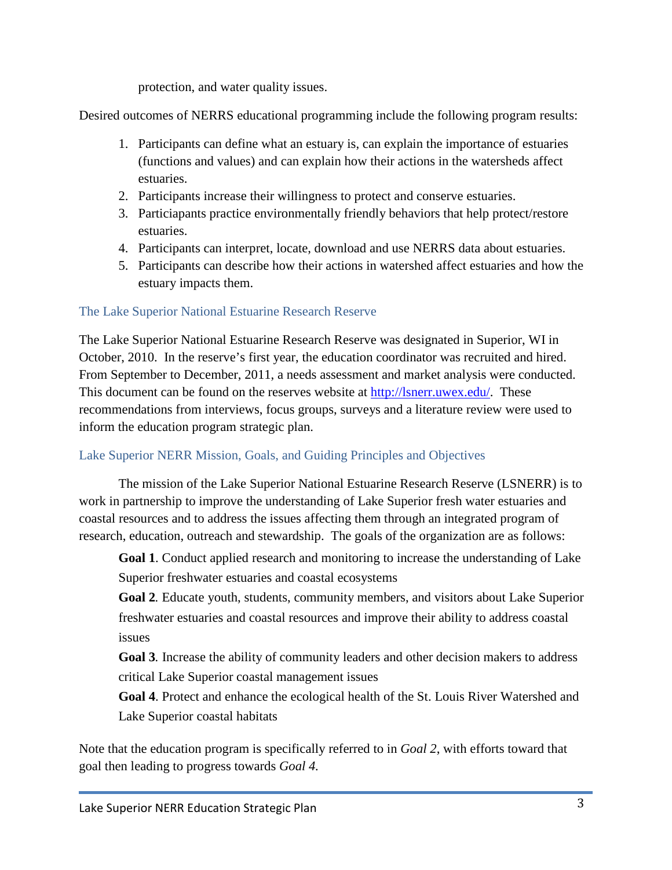protection, and water quality issues.

Desired outcomes of NERRS educational programming include the following program results:

- 1. Participants can define what an estuary is, can explain the importance of estuaries (functions and values) and can explain how their actions in the watersheds affect estuaries.
- 2. Participants increase their willingness to protect and conserve estuaries.
- 3. Particiapants practice environmentally friendly behaviors that help protect/restore estuaries.
- 4. Participants can interpret, locate, download and use NERRS data about estuaries.
- 5. Participants can describe how their actions in watershed affect estuaries and how the estuary impacts them.

## The Lake Superior National Estuarine Research Reserve

The Lake Superior National Estuarine Research Reserve was designated in Superior, WI in October, 2010. In the reserve's first year, the education coordinator was recruited and hired. From September to December, 2011, a needs assessment and market analysis were conducted. This document can be found on the reserves website at [http://lsnerr.uwex.edu/.](http://lsnerr.uwex.edu/) These recommendations from interviews, focus groups, surveys and a literature review were used to inform the education program strategic plan.

## Lake Superior NERR Mission, Goals, and Guiding Principles and Objectives

The mission of the Lake Superior National Estuarine Research Reserve (LSNERR) is to work in partnership to improve the understanding of Lake Superior fresh water estuaries and coastal resources and to address the issues affecting them through an integrated program of research, education, outreach and stewardship. The goals of the organization are as follows:

**Goal 1**. Conduct applied research and monitoring to increase the understanding of Lake Superior freshwater estuaries and coastal ecosystems

**Goal 2***.* Educate youth, students, community members, and visitors about Lake Superior freshwater estuaries and coastal resources and improve their ability to address coastal issues

**Goal 3***.* Increase the ability of community leaders and other decision makers to address critical Lake Superior coastal management issues

**Goal 4**. Protect and enhance the ecological health of the St. Louis River Watershed and Lake Superior coastal habitats

Note that the education program is specifically referred to in *Goal 2*, with efforts toward that goal then leading to progress towards *Goal 4.*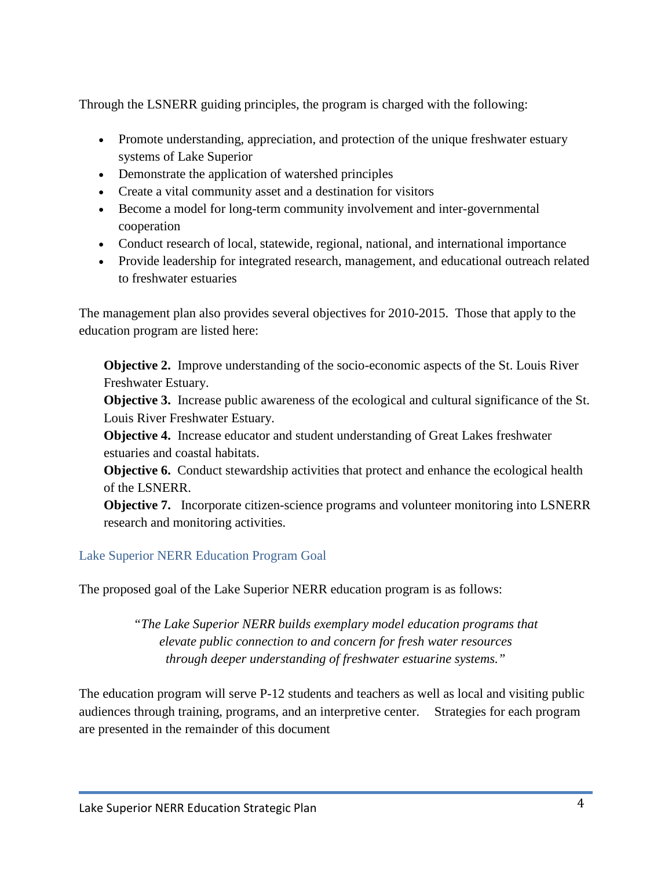Through the LSNERR guiding principles, the program is charged with the following:

- Promote understanding, appreciation, and protection of the unique freshwater estuary systems of Lake Superior
- Demonstrate the application of watershed principles
- Create a vital community asset and a destination for visitors
- Become a model for long-term community involvement and inter-governmental cooperation
- Conduct research of local, statewide, regional, national, and international importance
- Provide leadership for integrated research, management, and educational outreach related to freshwater estuaries

The management plan also provides several objectives for 2010-2015. Those that apply to the education program are listed here:

**Objective 2.** Improve understanding of the socio-economic aspects of the St. Louis River Freshwater Estuary.

**Objective 3.** Increase public awareness of the ecological and cultural significance of the St. Louis River Freshwater Estuary.

**Objective 4.** Increase educator and student understanding of Great Lakes freshwater estuaries and coastal habitats.

**Objective 6.** Conduct stewardship activities that protect and enhance the ecological health of the LSNERR.

**Objective 7.** Incorporate citizen-science programs and volunteer monitoring into LSNERR research and monitoring activities.

## Lake Superior NERR Education Program Goal

The proposed goal of the Lake Superior NERR education program is as follows:

*"The Lake Superior NERR builds exemplary model education programs that elevate public connection to and concern for fresh water resources through deeper understanding of freshwater estuarine systems."*

The education program will serve P-12 students and teachers as well as local and visiting public audiences through training, programs, and an interpretive center. Strategies for each program are presented in the remainder of this document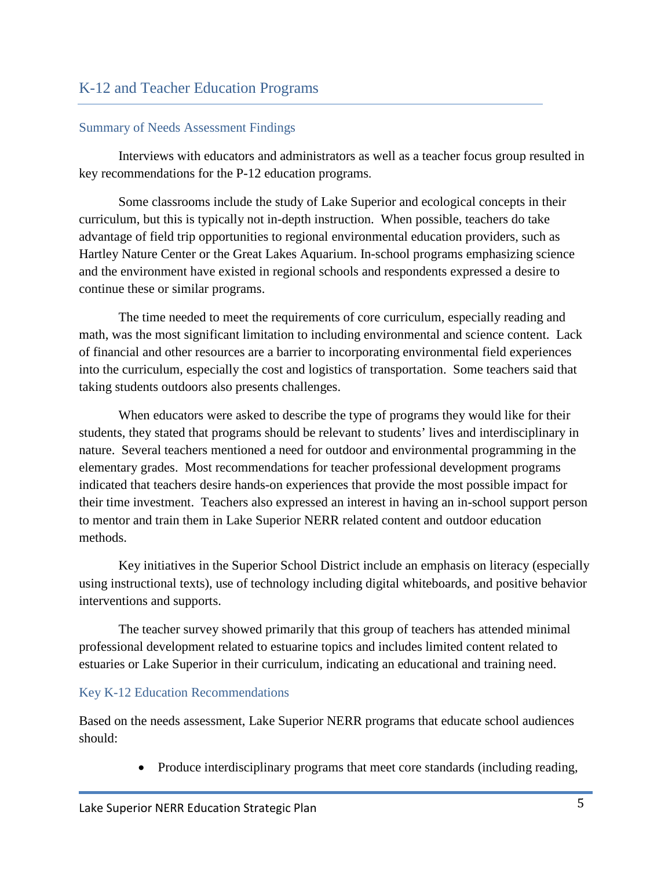#### Summary of Needs Assessment Findings

Interviews with educators and administrators as well as a teacher focus group resulted in key recommendations for the P-12 education programs.

Some classrooms include the study of Lake Superior and ecological concepts in their curriculum, but this is typically not in-depth instruction. When possible, teachers do take advantage of field trip opportunities to regional environmental education providers, such as Hartley Nature Center or the Great Lakes Aquarium. In-school programs emphasizing science and the environment have existed in regional schools and respondents expressed a desire to continue these or similar programs.

The time needed to meet the requirements of core curriculum, especially reading and math, was the most significant limitation to including environmental and science content. Lack of financial and other resources are a barrier to incorporating environmental field experiences into the curriculum, especially the cost and logistics of transportation. Some teachers said that taking students outdoors also presents challenges.

When educators were asked to describe the type of programs they would like for their students, they stated that programs should be relevant to students' lives and interdisciplinary in nature. Several teachers mentioned a need for outdoor and environmental programming in the elementary grades. Most recommendations for teacher professional development programs indicated that teachers desire hands-on experiences that provide the most possible impact for their time investment. Teachers also expressed an interest in having an in-school support person to mentor and train them in Lake Superior NERR related content and outdoor education methods.

Key initiatives in the Superior School District include an emphasis on literacy (especially using instructional texts), use of technology including digital whiteboards, and positive behavior interventions and supports.

The teacher survey showed primarily that this group of teachers has attended minimal professional development related to estuarine topics and includes limited content related to estuaries or Lake Superior in their curriculum, indicating an educational and training need.

#### Key K-12 Education Recommendations

Based on the needs assessment, Lake Superior NERR programs that educate school audiences should:

• Produce interdisciplinary programs that meet core standards (including reading,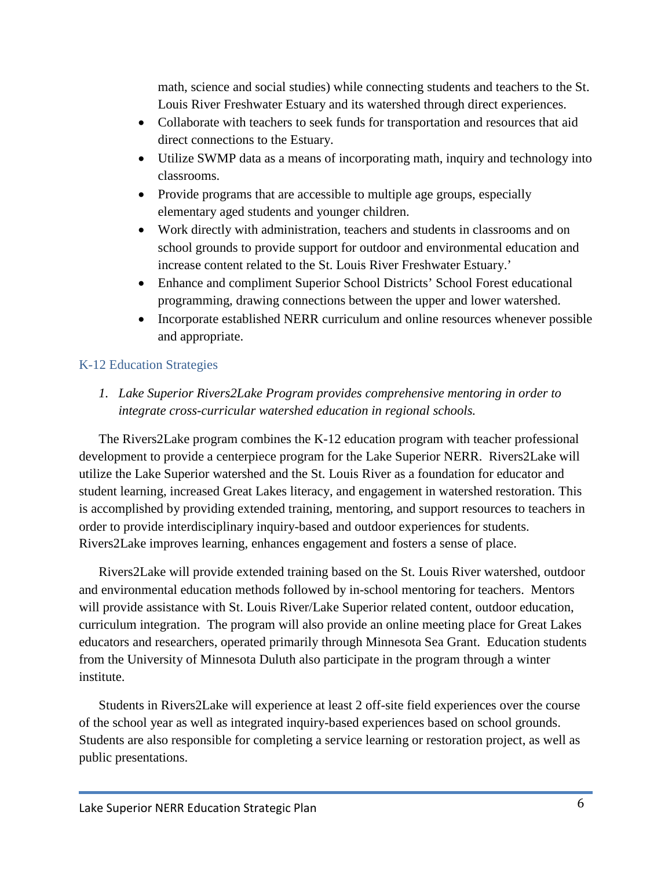math, science and social studies) while connecting students and teachers to the St. Louis River Freshwater Estuary and its watershed through direct experiences.

- Collaborate with teachers to seek funds for transportation and resources that aid direct connections to the Estuary.
- Utilize SWMP data as a means of incorporating math, inquiry and technology into classrooms.
- Provide programs that are accessible to multiple age groups, especially elementary aged students and younger children.
- Work directly with administration, teachers and students in classrooms and on school grounds to provide support for outdoor and environmental education and increase content related to the St. Louis River Freshwater Estuary.'
- Enhance and compliment Superior School Districts' School Forest educational programming, drawing connections between the upper and lower watershed.
- Incorporate established NERR curriculum and online resources whenever possible and appropriate.

## K-12 Education Strategies

*1. Lake Superior Rivers2Lake Program provides comprehensive mentoring in order to integrate cross-curricular watershed education in regional schools.*

The Rivers2Lake program combines the K-12 education program with teacher professional development to provide a centerpiece program for the Lake Superior NERR. Rivers2Lake will utilize the Lake Superior watershed and the St. Louis River as a foundation for educator and student learning, increased Great Lakes literacy, and engagement in watershed restoration. This is accomplished by providing extended training, mentoring, and support resources to teachers in order to provide interdisciplinary inquiry-based and outdoor experiences for students. Rivers2Lake improves learning, enhances engagement and fosters a sense of place.

Rivers2Lake will provide extended training based on the St. Louis River watershed, outdoor and environmental education methods followed by in-school mentoring for teachers. Mentors will provide assistance with St. Louis River/Lake Superior related content, outdoor education, curriculum integration. The program will also provide an online meeting place for Great Lakes educators and researchers, operated primarily through Minnesota Sea Grant. Education students from the University of Minnesota Duluth also participate in the program through a winter institute.

Students in Rivers2Lake will experience at least 2 off-site field experiences over the course of the school year as well as integrated inquiry-based experiences based on school grounds. Students are also responsible for completing a service learning or restoration project, as well as public presentations.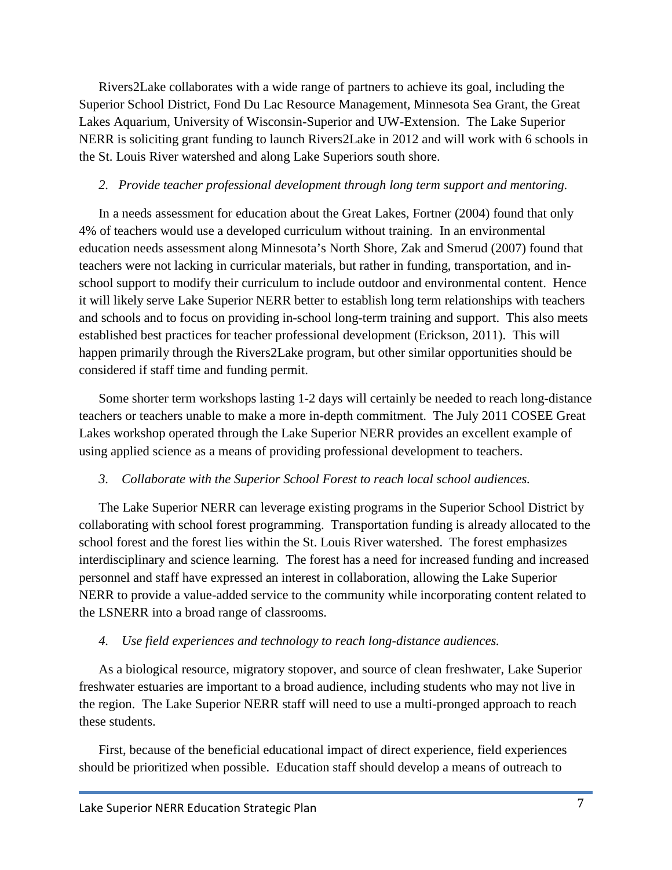Rivers2Lake collaborates with a wide range of partners to achieve its goal, including the Superior School District, Fond Du Lac Resource Management, Minnesota Sea Grant, the Great Lakes Aquarium, University of Wisconsin-Superior and UW-Extension. The Lake Superior NERR is soliciting grant funding to launch Rivers2Lake in 2012 and will work with 6 schools in the St. Louis River watershed and along Lake Superiors south shore.

#### *2. Provide teacher professional development through long term support and mentoring.*

In a needs assessment for education about the Great Lakes, Fortner (2004) found that only 4% of teachers would use a developed curriculum without training. In an environmental education needs assessment along Minnesota's North Shore, Zak and Smerud (2007) found that teachers were not lacking in curricular materials, but rather in funding, transportation, and inschool support to modify their curriculum to include outdoor and environmental content. Hence it will likely serve Lake Superior NERR better to establish long term relationships with teachers and schools and to focus on providing in-school long-term training and support. This also meets established best practices for teacher professional development (Erickson, 2011). This will happen primarily through the Rivers2Lake program, but other similar opportunities should be considered if staff time and funding permit.

Some shorter term workshops lasting 1-2 days will certainly be needed to reach long-distance teachers or teachers unable to make a more in-depth commitment. The July 2011 COSEE Great Lakes workshop operated through the Lake Superior NERR provides an excellent example of using applied science as a means of providing professional development to teachers.

## *3. Collaborate with the Superior School Forest to reach local school audiences.*

The Lake Superior NERR can leverage existing programs in the Superior School District by collaborating with school forest programming. Transportation funding is already allocated to the school forest and the forest lies within the St. Louis River watershed. The forest emphasizes interdisciplinary and science learning. The forest has a need for increased funding and increased personnel and staff have expressed an interest in collaboration, allowing the Lake Superior NERR to provide a value-added service to the community while incorporating content related to the LSNERR into a broad range of classrooms.

## *4. Use field experiences and technology to reach long-distance audiences.*

As a biological resource, migratory stopover, and source of clean freshwater, Lake Superior freshwater estuaries are important to a broad audience, including students who may not live in the region. The Lake Superior NERR staff will need to use a multi-pronged approach to reach these students.

First, because of the beneficial educational impact of direct experience, field experiences should be prioritized when possible. Education staff should develop a means of outreach to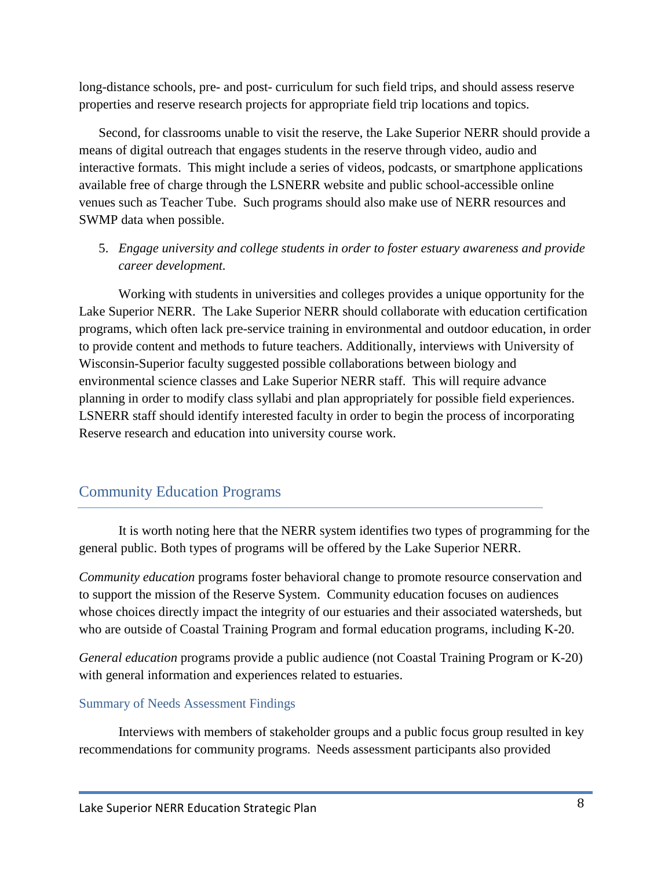long-distance schools, pre- and post- curriculum for such field trips, and should assess reserve properties and reserve research projects for appropriate field trip locations and topics.

Second, for classrooms unable to visit the reserve, the Lake Superior NERR should provide a means of digital outreach that engages students in the reserve through video, audio and interactive formats. This might include a series of videos, podcasts, or smartphone applications available free of charge through the LSNERR website and public school-accessible online venues such as Teacher Tube. Such programs should also make use of NERR resources and SWMP data when possible.

## 5. *Engage university and college students in order to foster estuary awareness and provide career development.*

Working with students in universities and colleges provides a unique opportunity for the Lake Superior NERR. The Lake Superior NERR should collaborate with education certification programs, which often lack pre-service training in environmental and outdoor education, in order to provide content and methods to future teachers. Additionally, interviews with University of Wisconsin-Superior faculty suggested possible collaborations between biology and environmental science classes and Lake Superior NERR staff. This will require advance planning in order to modify class syllabi and plan appropriately for possible field experiences. LSNERR staff should identify interested faculty in order to begin the process of incorporating Reserve research and education into university course work.

## Community Education Programs

It is worth noting here that the NERR system identifies two types of programming for the general public. Both types of programs will be offered by the Lake Superior NERR.

*Community education* programs foster behavioral change to promote resource conservation and to support the mission of the Reserve System. Community education focuses on audiences whose choices directly impact the integrity of our estuaries and their associated watersheds, but who are outside of Coastal Training Program and formal education programs, including K-20.

*General education* programs provide a public audience (not Coastal Training Program or K-20) with general information and experiences related to estuaries.

#### Summary of Needs Assessment Findings

Interviews with members of stakeholder groups and a public focus group resulted in key recommendations for community programs. Needs assessment participants also provided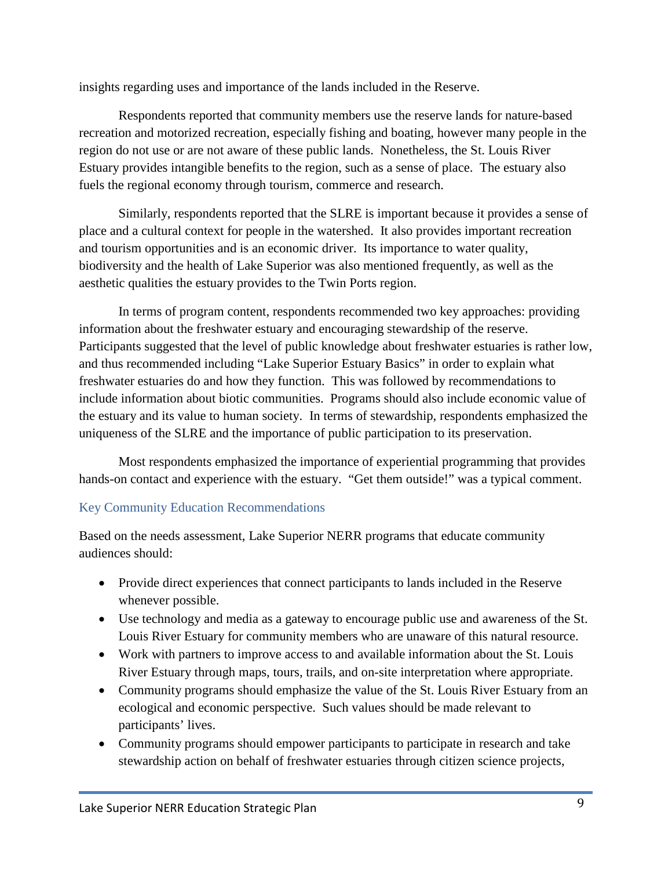insights regarding uses and importance of the lands included in the Reserve.

Respondents reported that community members use the reserve lands for nature-based recreation and motorized recreation, especially fishing and boating, however many people in the region do not use or are not aware of these public lands. Nonetheless, the St. Louis River Estuary provides intangible benefits to the region, such as a sense of place. The estuary also fuels the regional economy through tourism, commerce and research.

Similarly, respondents reported that the SLRE is important because it provides a sense of place and a cultural context for people in the watershed. It also provides important recreation and tourism opportunities and is an economic driver. Its importance to water quality, biodiversity and the health of Lake Superior was also mentioned frequently, as well as the aesthetic qualities the estuary provides to the Twin Ports region.

In terms of program content, respondents recommended two key approaches: providing information about the freshwater estuary and encouraging stewardship of the reserve. Participants suggested that the level of public knowledge about freshwater estuaries is rather low, and thus recommended including "Lake Superior Estuary Basics" in order to explain what freshwater estuaries do and how they function. This was followed by recommendations to include information about biotic communities. Programs should also include economic value of the estuary and its value to human society. In terms of stewardship, respondents emphasized the uniqueness of the SLRE and the importance of public participation to its preservation.

Most respondents emphasized the importance of experiential programming that provides hands-on contact and experience with the estuary. "Get them outside!" was a typical comment.

#### Key Community Education Recommendations

Based on the needs assessment, Lake Superior NERR programs that educate community audiences should:

- Provide direct experiences that connect participants to lands included in the Reserve whenever possible.
- Use technology and media as a gateway to encourage public use and awareness of the St. Louis River Estuary for community members who are unaware of this natural resource.
- Work with partners to improve access to and available information about the St. Louis River Estuary through maps, tours, trails, and on-site interpretation where appropriate.
- Community programs should emphasize the value of the St. Louis River Estuary from an ecological and economic perspective. Such values should be made relevant to participants' lives.
- Community programs should empower participants to participate in research and take stewardship action on behalf of freshwater estuaries through citizen science projects,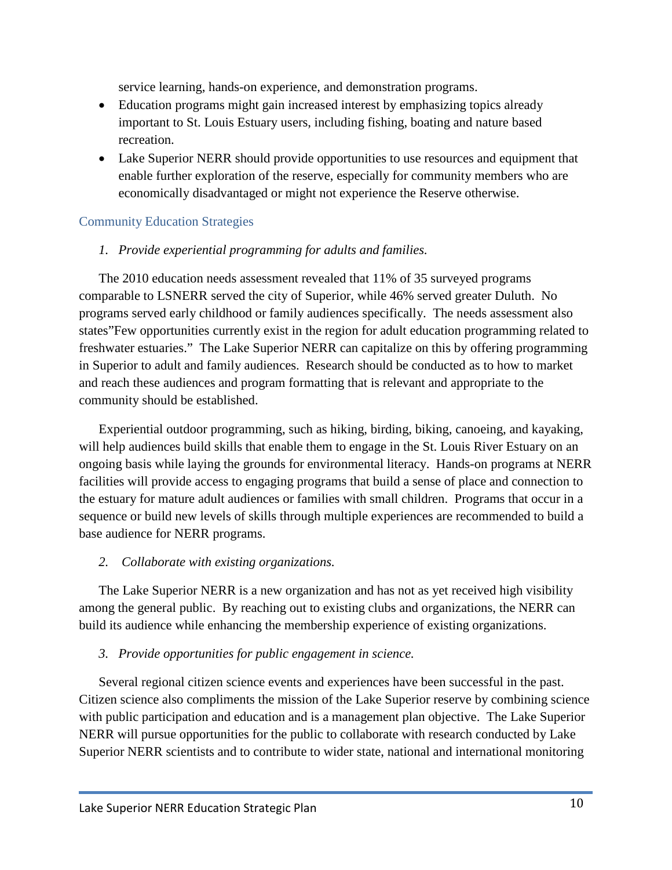service learning, hands-on experience, and demonstration programs.

- Education programs might gain increased interest by emphasizing topics already important to St. Louis Estuary users, including fishing, boating and nature based recreation.
- Lake Superior NERR should provide opportunities to use resources and equipment that enable further exploration of the reserve, especially for community members who are economically disadvantaged or might not experience the Reserve otherwise.

## Community Education Strategies

#### *1. Provide experiential programming for adults and families.*

The 2010 education needs assessment revealed that 11% of 35 surveyed programs comparable to LSNERR served the city of Superior, while 46% served greater Duluth. No programs served early childhood or family audiences specifically. The needs assessment also states"Few opportunities currently exist in the region for adult education programming related to freshwater estuaries." The Lake Superior NERR can capitalize on this by offering programming in Superior to adult and family audiences. Research should be conducted as to how to market and reach these audiences and program formatting that is relevant and appropriate to the community should be established.

Experiential outdoor programming, such as hiking, birding, biking, canoeing, and kayaking, will help audiences build skills that enable them to engage in the St. Louis River Estuary on an ongoing basis while laying the grounds for environmental literacy. Hands-on programs at NERR facilities will provide access to engaging programs that build a sense of place and connection to the estuary for mature adult audiences or families with small children. Programs that occur in a sequence or build new levels of skills through multiple experiences are recommended to build a base audience for NERR programs.

#### *2. Collaborate with existing organizations.*

The Lake Superior NERR is a new organization and has not as yet received high visibility among the general public. By reaching out to existing clubs and organizations, the NERR can build its audience while enhancing the membership experience of existing organizations.

#### *3. Provide opportunities for public engagement in science.*

Several regional citizen science events and experiences have been successful in the past. Citizen science also compliments the mission of the Lake Superior reserve by combining science with public participation and education and is a management plan objective. The Lake Superior NERR will pursue opportunities for the public to collaborate with research conducted by Lake Superior NERR scientists and to contribute to wider state, national and international monitoring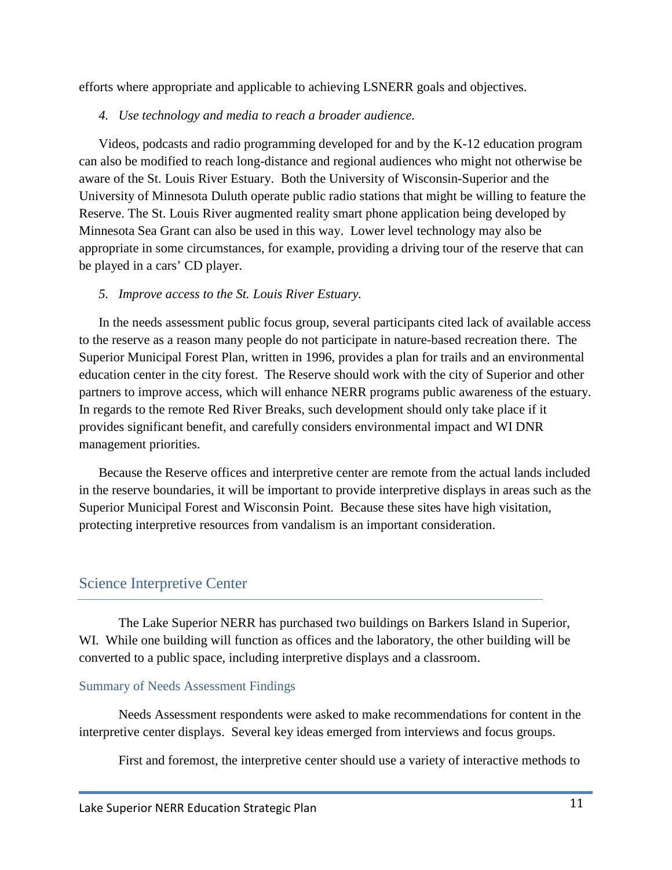efforts where appropriate and applicable to achieving LSNERR goals and objectives.

#### *4. Use technology and media to reach a broader audience.*

Videos, podcasts and radio programming developed for and by the K-12 education program can also be modified to reach long-distance and regional audiences who might not otherwise be aware of the St. Louis River Estuary. Both the University of Wisconsin-Superior and the University of Minnesota Duluth operate public radio stations that might be willing to feature the Reserve. The St. Louis River augmented reality smart phone application being developed by Minnesota Sea Grant can also be used in this way. Lower level technology may also be appropriate in some circumstances, for example, providing a driving tour of the reserve that can be played in a cars' CD player.

#### *5. Improve access to the St. Louis River Estuary.*

In the needs assessment public focus group, several participants cited lack of available access to the reserve as a reason many people do not participate in nature-based recreation there. The Superior Municipal Forest Plan, written in 1996, provides a plan for trails and an environmental education center in the city forest. The Reserve should work with the city of Superior and other partners to improve access, which will enhance NERR programs public awareness of the estuary. In regards to the remote Red River Breaks, such development should only take place if it provides significant benefit, and carefully considers environmental impact and WI DNR management priorities.

Because the Reserve offices and interpretive center are remote from the actual lands included in the reserve boundaries, it will be important to provide interpretive displays in areas such as the Superior Municipal Forest and Wisconsin Point. Because these sites have high visitation, protecting interpretive resources from vandalism is an important consideration.

## Science Interpretive Center

The Lake Superior NERR has purchased two buildings on Barkers Island in Superior, WI. While one building will function as offices and the laboratory, the other building will be converted to a public space, including interpretive displays and a classroom.

#### Summary of Needs Assessment Findings

Needs Assessment respondents were asked to make recommendations for content in the interpretive center displays. Several key ideas emerged from interviews and focus groups.

First and foremost, the interpretive center should use a variety of interactive methods to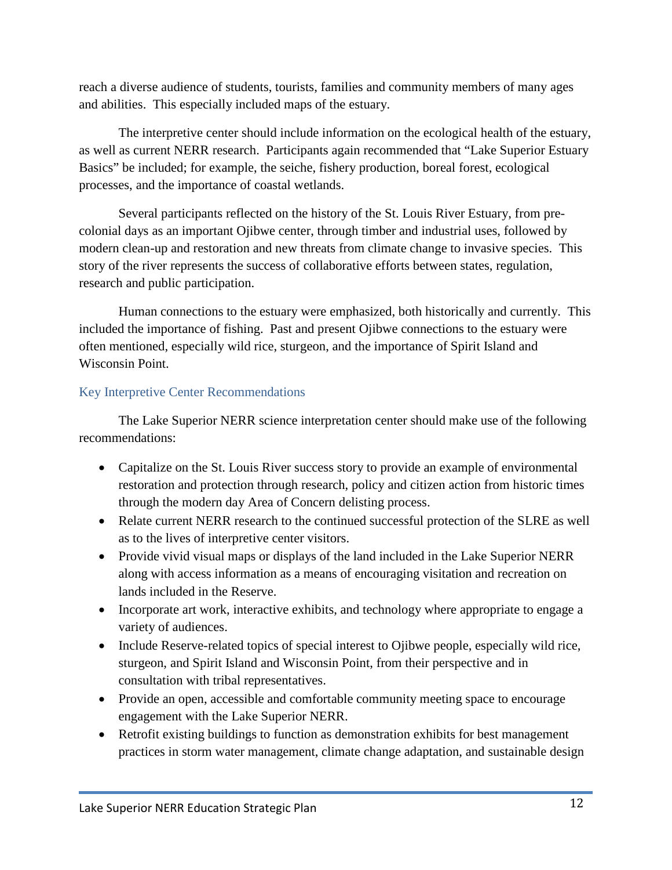reach a diverse audience of students, tourists, families and community members of many ages and abilities. This especially included maps of the estuary.

The interpretive center should include information on the ecological health of the estuary, as well as current NERR research. Participants again recommended that "Lake Superior Estuary Basics" be included; for example, the seiche, fishery production, boreal forest, ecological processes, and the importance of coastal wetlands.

Several participants reflected on the history of the St. Louis River Estuary, from precolonial days as an important Ojibwe center, through timber and industrial uses, followed by modern clean-up and restoration and new threats from climate change to invasive species. This story of the river represents the success of collaborative efforts between states, regulation, research and public participation.

Human connections to the estuary were emphasized, both historically and currently. This included the importance of fishing. Past and present Ojibwe connections to the estuary were often mentioned, especially wild rice, sturgeon, and the importance of Spirit Island and Wisconsin Point.

## Key Interpretive Center Recommendations

The Lake Superior NERR science interpretation center should make use of the following recommendations:

- Capitalize on the St. Louis River success story to provide an example of environmental restoration and protection through research, policy and citizen action from historic times through the modern day Area of Concern delisting process.
- Relate current NERR research to the continued successful protection of the SLRE as well as to the lives of interpretive center visitors.
- Provide vivid visual maps or displays of the land included in the Lake Superior NERR along with access information as a means of encouraging visitation and recreation on lands included in the Reserve.
- Incorporate art work, interactive exhibits, and technology where appropriate to engage a variety of audiences.
- Include Reserve-related topics of special interest to Ojibwe people, especially wild rice, sturgeon, and Spirit Island and Wisconsin Point, from their perspective and in consultation with tribal representatives.
- Provide an open, accessible and comfortable community meeting space to encourage engagement with the Lake Superior NERR.
- Retrofit existing buildings to function as demonstration exhibits for best management practices in storm water management, climate change adaptation, and sustainable design